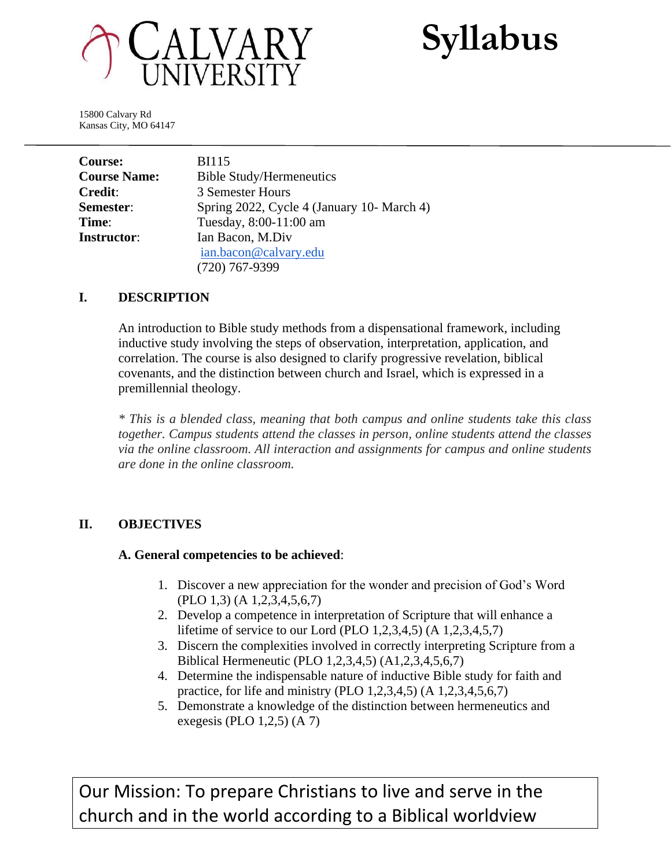

**Syllabus**

15800 Calvary Rd Kansas City, MO 64147

| Course:             | <b>BI115</b>                               |
|---------------------|--------------------------------------------|
| <b>Course Name:</b> | <b>Bible Study/Hermeneutics</b>            |
| <b>Credit:</b>      | 3 Semester Hours                           |
| Semester:           | Spring 2022, Cycle 4 (January 10- March 4) |
| Time:               | Tuesday, 8:00-11:00 am                     |
| <b>Instructor:</b>  | Ian Bacon, M.Div                           |
|                     | ian.bacon@calvary.edu                      |
|                     | $(720)$ 767-9399                           |

#### **I. DESCRIPTION**

An introduction to Bible study methods from a dispensational framework, including inductive study involving the steps of observation, interpretation, application, and correlation. The course is also designed to clarify progressive revelation, biblical covenants, and the distinction between church and Israel, which is expressed in a premillennial theology.

*\* This is a blended class, meaning that both campus and online students take this class together. Campus students attend the classes in person, online students attend the classes via the online classroom. All interaction and assignments for campus and online students are done in the online classroom.*

## **II. OBJECTIVES**

#### **A. General competencies to be achieved**:

- 1. Discover a new appreciation for the wonder and precision of God's Word (PLO 1,3) (A 1,2,3,4,5,6,7)
- 2. Develop a competence in interpretation of Scripture that will enhance a lifetime of service to our Lord (PLO 1,2,3,4,5) (A 1,2,3,4,5,7)
- 3. Discern the complexities involved in correctly interpreting Scripture from a Biblical Hermeneutic (PLO 1,2,3,4,5) (A1,2,3,4,5,6,7)
- 4. Determine the indispensable nature of inductive Bible study for faith and practice, for life and ministry (PLO 1,2,3,4,5) (A 1,2,3,4,5,6,7)
- 5. Demonstrate a knowledge of the distinction between hermeneutics and exegesis (PLO 1,2,5) (A 7)

Our Mission: To prepare Christians to live and serve in the church and in the world according to a Biblical worldview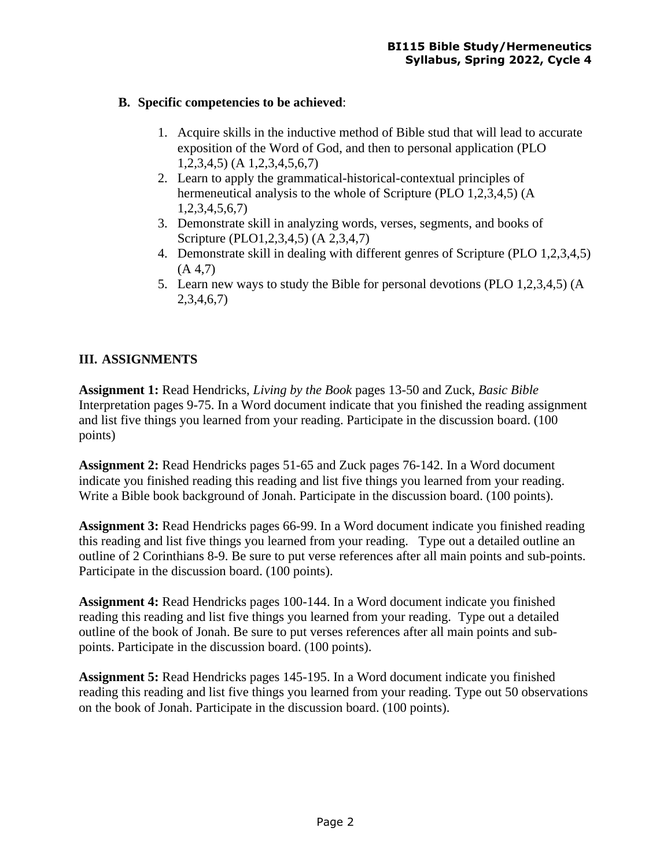## **B. Specific competencies to be achieved**:

- 1. Acquire skills in the inductive method of Bible stud that will lead to accurate exposition of the Word of God, and then to personal application (PLO 1,2,3,4,5) (A 1,2,3,4,5,6,7)
- 2. Learn to apply the grammatical-historical-contextual principles of hermeneutical analysis to the whole of Scripture (PLO 1,2,3,4,5) (A 1,2,3,4,5,6,7)
- 3. Demonstrate skill in analyzing words, verses, segments, and books of Scripture (PLO1,2,3,4,5) (A 2,3,4,7)
- 4. Demonstrate skill in dealing with different genres of Scripture (PLO 1,2,3,4,5)  $(A 4,7)$
- 5. Learn new ways to study the Bible for personal devotions (PLO 1,2,3,4,5) (A 2,3,4,6,7)

# **III. ASSIGNMENTS**

**Assignment 1:** Read Hendricks, *Living by the Book* pages 13-50 and Zuck, *Basic Bible* Interpretation pages 9-75. In a Word document indicate that you finished the reading assignment and list five things you learned from your reading. Participate in the discussion board. (100 points)

**Assignment 2:** Read Hendricks pages 51-65 and Zuck pages 76-142. In a Word document indicate you finished reading this reading and list five things you learned from your reading. Write a Bible book background of Jonah. Participate in the discussion board. (100 points).

**Assignment 3:** Read Hendricks pages 66-99. In a Word document indicate you finished reading this reading and list five things you learned from your reading. Type out a detailed outline an outline of 2 Corinthians 8-9. Be sure to put verse references after all main points and sub-points. Participate in the discussion board. (100 points).

**Assignment 4:** Read Hendricks pages 100-144. In a Word document indicate you finished reading this reading and list five things you learned from your reading. Type out a detailed outline of the book of Jonah. Be sure to put verses references after all main points and subpoints. Participate in the discussion board. (100 points).

**Assignment 5:** Read Hendricks pages 145-195. In a Word document indicate you finished reading this reading and list five things you learned from your reading. Type out 50 observations on the book of Jonah. Participate in the discussion board. (100 points).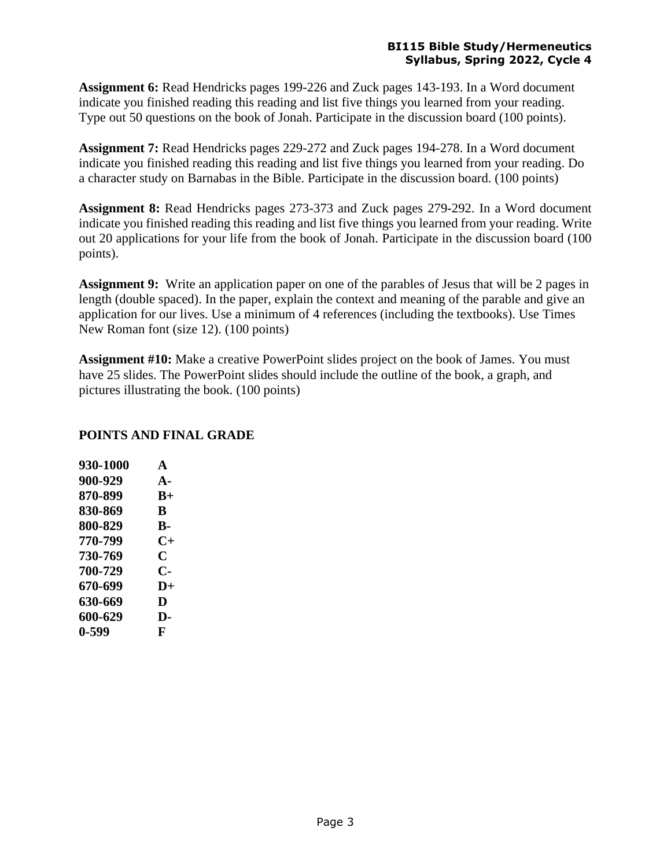#### **BI115 Bible Study/Hermeneutics Syllabus, Spring 2022, Cycle 4**

**Assignment 6:** Read Hendricks pages 199-226 and Zuck pages 143-193. In a Word document indicate you finished reading this reading and list five things you learned from your reading. Type out 50 questions on the book of Jonah. Participate in the discussion board (100 points).

**Assignment 7:** Read Hendricks pages 229-272 and Zuck pages 194-278. In a Word document indicate you finished reading this reading and list five things you learned from your reading. Do a character study on Barnabas in the Bible. Participate in the discussion board. (100 points)

**Assignment 8:** Read Hendricks pages 273-373 and Zuck pages 279-292. In a Word document indicate you finished reading this reading and list five things you learned from your reading. Write out 20 applications for your life from the book of Jonah. Participate in the discussion board (100 points).

**Assignment 9:** Write an application paper on one of the parables of Jesus that will be 2 pages in length (double spaced). In the paper, explain the context and meaning of the parable and give an application for our lives. Use a minimum of 4 references (including the textbooks). Use Times New Roman font (size 12). (100 points)

**Assignment #10:** Make a creative PowerPoint slides project on the book of James. You must have 25 slides. The PowerPoint slides should include the outline of the book, a graph, and pictures illustrating the book. (100 points)

### **POINTS AND FINAL GRADE**

| 930-1000 | $\blacktriangle$ |
|----------|------------------|
| 900-929  | $\mathbf{A}$     |
| 870-899  | $R+$             |
| 830-869  | B                |
| 800-829  | <b>B-</b>        |
| 770-799  | $C+$             |
| 730-769  | C                |
| 700-729  | C-               |
| 670-699  | $\mathbf{D}+$    |
| 630-669  | D                |
| 600-629  | D-               |
| 0-599    | F                |
|          |                  |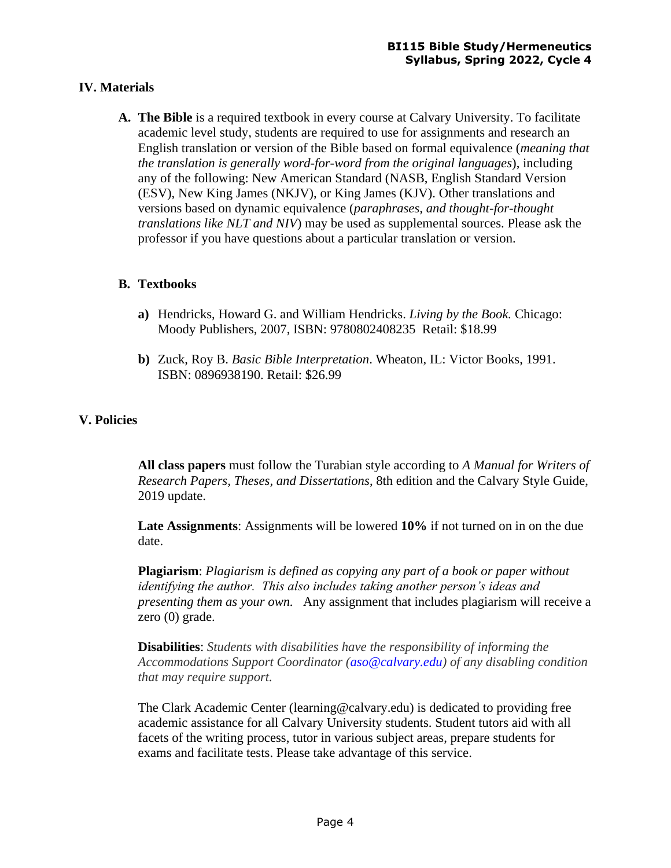## **IV. Materials**

**A. The Bible** is a required textbook in every course at Calvary University. To facilitate academic level study, students are required to use for assignments and research an English translation or version of the Bible based on formal equivalence (*meaning that the translation is generally word-for-word from the original languages*), including any of the following: New American Standard (NASB, English Standard Version (ESV), New King James (NKJV), or King James (KJV). Other translations and versions based on dynamic equivalence (*paraphrases, and thought-for-thought translations like NLT and NIV*) may be used as supplemental sources. Please ask the professor if you have questions about a particular translation or version.

#### **B. Textbooks**

- **a)** Hendricks, Howard G. and William Hendricks. *Living by the Book.* Chicago: Moody Publishers, 2007, ISBN: 9780802408235 Retail: \$18.99
- **b)** Zuck, Roy B. *Basic Bible Interpretation*. Wheaton, IL: Victor Books, 1991. ISBN: 0896938190. Retail: \$26.99

## **V. Policies**

**All class papers** must follow the Turabian style according to *A Manual for Writers of Research Papers, Theses, and Dissertations*, 8th edition and the Calvary Style Guide, 2019 update.

**Late Assignments**: Assignments will be lowered **10%** if not turned on in on the due date.

**Plagiarism**: *Plagiarism is defined as copying any part of a book or paper without identifying the author. This also includes taking another person's ideas and presenting them as your own.* Any assignment that includes plagiarism will receive a zero (0) grade.

**Disabilities**: *Students with disabilities have the responsibility of informing the Accommodations Support Coordinator (aso@calvary.edu) of any disabling condition that may require support.*

The Clark Academic Center (learning@calvary.edu) is dedicated to providing free academic assistance for all Calvary University students. Student tutors aid with all facets of the writing process, tutor in various subject areas, prepare students for exams and facilitate tests. Please take advantage of this service.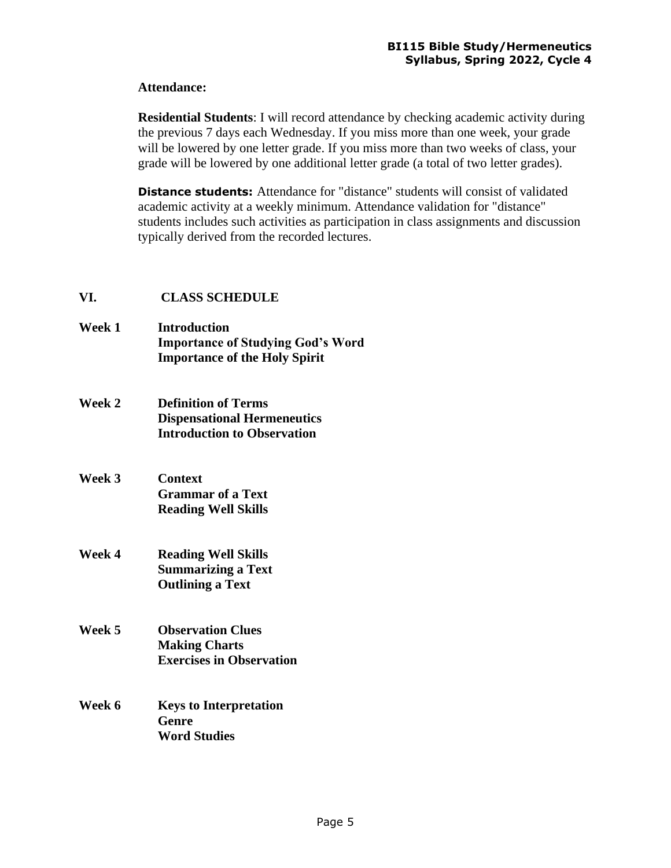#### **Attendance:**

**Residential Students**: I will record attendance by checking academic activity during the previous 7 days each Wednesday. If you miss more than one week, your grade will be lowered by one letter grade. If you miss more than two weeks of class, your grade will be lowered by one additional letter grade (a total of two letter grades).

**Distance students:** Attendance for "distance" students will consist of validated academic activity at a weekly minimum. Attendance validation for "distance" students includes such activities as participation in class assignments and discussion typically derived from the recorded lectures.

## **VI. CLASS SCHEDULE**

- **Week 1 Introduction Importance of Studying God's Word Importance of the Holy Spirit**
- **Week 2 Definition of Terms Dispensational Hermeneutics Introduction to Observation**
- **Week 3 Context Grammar of a Text Reading Well Skills**
- **Week 4 Reading Well Skills Summarizing a Text Outlining a Text**
- **Week 5 Observation Clues Making Charts Exercises in Observation**
- **Week 6 Keys to Interpretation Genre Word Studies**